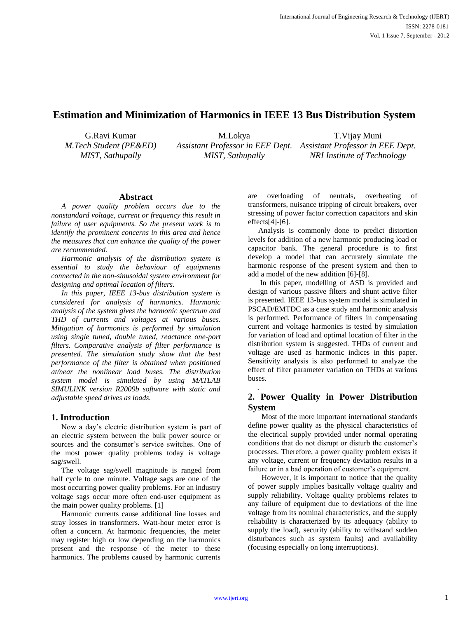# **Estimation and Minimization of Harmonics in IEEE 13 Bus Distribution System**

G.Ravi Kumar *M.Tech Student (PE&ED) MIST, Sathupally*

M.Lokya *Assistant Professor in EEE Dept. Assistant Professor in EEE Dept. MIST, Sathupally* T.Vijay Muni *NRI Institute of Technology*

## **Abstract**

*A power quality problem occurs due to the nonstandard voltage, current or frequency this result in failure of user equipments. So the present work is to identify the prominent concerns in this area and hence the measures that can enhance the quality of the power are recommended.*

*Harmonic analysis of the distribution system is essential to study the behaviour of equipments connected in the non-sinusoidal system environment for designing and optimal location of filters.*

*In this paper, IEEE 13-bus distribution system is considered for analysis of harmonics. Harmonic analysis of the system gives the harmonic spectrum and THD of currents and voltages at various buses. Mitigation of harmonics is performed by simulation using single tuned, double tuned, reactance one-port filters. Comparative analysis of filter performance is presented. The simulation study show that the best performance of the filter is obtained when positioned at/near the nonlinear load buses. The distribution system model is simulated by using MATLAB SIMULINK version R2009b software with static and adjustable speed drives as loads.*

## **1. Introduction**

Now a day's electric distribution system is part of an electric system between the bulk power source or sources and the consumer's service switches. One of the most power quality problems today is voltage sag/swell.

The voltage sag/swell magnitude is ranged from half cycle to one minute. Voltage sags are one of the most occurring power quality problems. For an industry voltage sags occur more often end-user equipment as the main power quality problems. [1]

Harmonic currents cause additional line losses and stray losses in transformers. Watt-hour meter error is often a concern. At harmonic frequencies, the meter may register high or low depending on the harmonics present and the response of the meter to these harmonics. The problems caused by harmonic currents

are overloading of neutrals, overheating of transformers, nuisance tripping of circuit breakers, over stressing of power factor correction capacitors and skin effects[4]-[6].

Analysis is commonly done to predict distortion levels for addition of a new harmonic producing load or capacitor bank. The general procedure is to first develop a model that can accurately simulate the harmonic response of the present system and then to add a model of the new addition [6]-[8].

In this paper, modelling of ASD is provided and design of various passive filters and shunt active filter is presented. IEEE 13-bus system model is simulated in PSCAD/EMTDC as a case study and harmonic analysis is performed. Performance of filters in compensating current and voltage harmonics is tested by simulation for variation of load and optimal location of filter in the distribution system is suggested. THDs of current and voltage are used as harmonic indices in this paper. Sensitivity analysis is also performed to analyze the effect of filter parameter variation on THDs at various buses.

## **2. Power Quality in Power Distribution System**

Most of the more important international standards define power quality as the physical characteristics of the electrical supply provided under normal operating conditions that do not disrupt or disturb the customer's processes. Therefore, a power quality problem exists if any voltage, current or frequency deviation results in a failure or in a bad operation of customer's equipment.

However, it is important to notice that the quality of power supply implies basically voltage quality and supply reliability. Voltage quality problems relates to any failure of equipment due to deviations of the line voltage from its nominal characteristics, and the supply reliability is characterized by its adequacy (ability to supply the load), security (ability to withstand sudden disturbances such as system faults) and availability (focusing especially on long interruptions).

.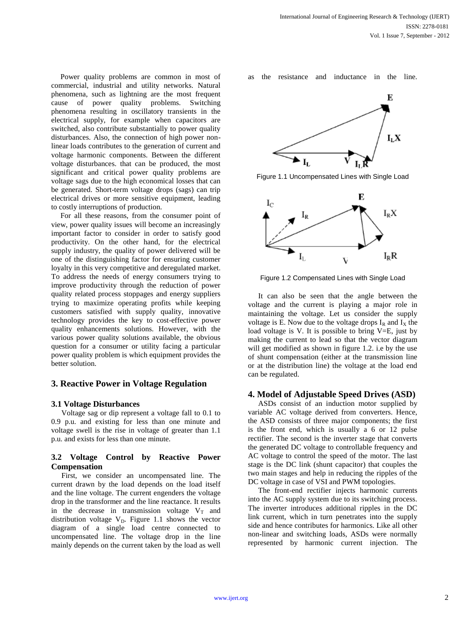Power quality problems are common in most of commercial, industrial and utility networks. Natural phenomena, such as lightning are the most frequent cause of power quality problems. Switching phenomena resulting in oscillatory transients in the electrical supply, for example when capacitors are switched, also contribute substantially to power quality disturbances. Also, the connection of high power nonlinear loads contributes to the generation of current and voltage harmonic components. Between the different voltage disturbances. that can be produced, the most significant and critical power quality problems are voltage sags due to the high economical losses that can be generated. Short-term voltage drops (sags) can trip electrical drives or more sensitive equipment, leading to costly interruptions of production.

For all these reasons, from the consumer point of view, power quality issues will become an increasingly important factor to consider in order to satisfy good productivity. On the other hand, for the electrical supply industry, the quality of power delivered will be one of the distinguishing factor for ensuring customer loyalty in this very competitive and deregulated market. To address the needs of energy consumers trying to improve productivity through the reduction of power quality related process stoppages and energy suppliers trying to maximize operating profits while keeping customers satisfied with supply quality, innovative technology provides the key to cost-effective power quality enhancements solutions. However, with the various power quality solutions available, the obvious question for a consumer or utility facing a particular power quality problem is which equipment provides the better solution.

#### **3. Reactive Power in Voltage Regulation**

#### **3.1 Voltage Disturbances**

Voltage sag or dip represent a voltage fall to 0.1 to 0.9 p.u. and existing for less than one minute and voltage swell is the rise in voltage of greater than 1.1 p.u. and exists for less than one minute.

### **3.2 Voltage Control by Reactive Power Compensation**

First, we consider an uncompensated line. The current drawn by the load depends on the load itself and the line voltage. The current engenders the voltage drop in the transformer and the line reactance. It results in the decrease in transmission voltage  $V_T$  and distribution voltage  $V_D$ . Figure 1.1 shows the vector diagram of a single load centre connected to uncompensated line. The voltage drop in the line mainly depends on the current taken by the load as well

as the resistance and inductance in the line.



Figure 1.1 Uncompensated Lines with Single Load



Figure 1.2 Compensated Lines with Single Load

It can also be seen that the angle between the voltage and the current is playing a major role in maintaining the voltage. Let us consider the supply voltage is E. Now due to the voltage drops  $I_R$  and  $I_X$  the load voltage is V. It is possible to bring  $V=E$ , just by making the current to lead so that the vector diagram will get modified as shown in figure 1.2. i.e by the use of shunt compensation (either at the transmission line or at the distribution line) the voltage at the load end can be regulated.

#### **4. Model of Adjustable Speed Drives (ASD)**

ASDs consist of an induction motor supplied by variable AC voltage derived from converters. Hence, the ASD consists of three major components; the first is the front end, which is usually a 6 or 12 pulse rectifier. The second is the inverter stage that converts the generated DC voltage to controllable frequency and AC voltage to control the speed of the motor. The last stage is the DC link (shunt capacitor) that couples the two main stages and help in reducing the ripples of the DC voltage in case of VSI and PWM topologies.

The front-end rectifier injects harmonic currents into the AC supply system due to its switching process. The inverter introduces additional ripples in the DC link current, which in turn penetrates into the supply side and hence contributes for harmonics. Like all other non-linear and switching loads, ASDs were normally represented by harmonic current injection. The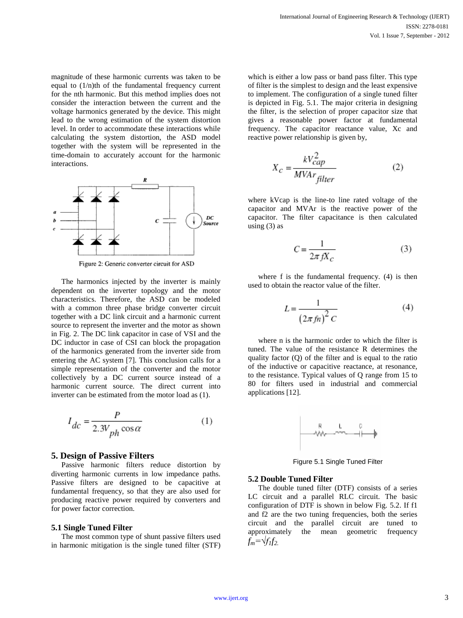magnitude of these harmonic currents was taken to be equal to (1/n)th of the fundamental frequency current for the nth harmonic. But this method implies does not consider the interaction between the current and the voltage harmonics generated by the device. This might lead to the wrong estimation of the system distortion level. In order to accommodate these interactions while calculating the system distortion, the ASD model together with the system will be represented in the time-domain to accurately account for the harmonic interactions.



Figure 2: Generic converter circuit for ASD

The harmonics injected by the inverter is mainly dependent on the inverter topology and the motor characteristics. Therefore, the ASD can be modeled with a common three phase bridge converter circuit together with a DC link circuit and a harmonic current source to represent the inverter and the motor as shown in Fig. 2. The DC link capacitor in case of VSI and the DC inductor in case of CSI can block the propagation of the harmonics generated from the inverter side from entering the AC system [7]. This conclusion calls for a simple representation of the converter and the motor collectively by a DC current source instead of a harmonic current source. The direct current into inverter can be estimated from the motor load as (1).

$$
I_{dc} = \frac{P}{2.3V_{ph}\cos\alpha} \tag{1}
$$

#### **5. Design of Passive Filters**

Passive harmonic filters reduce distortion by diverting harmonic currents in low impedance paths. Passive filters are designed to be capacitive at fundamental frequency, so that they are also used for producing reactive power required by converters and for power factor correction.

#### **5.1 Single Tuned Filter**

The most common type of shunt passive filters used in harmonic mitigation is the single tuned filter (STF) which is either a low pass or band pass filter. This type of filter is the simplest to design and the least expensive to implement. The configuration of a single tuned filter is depicted in Fig. 5.1. The major criteria in designing the filter, is the selection of proper capacitor size that gives a reasonable power factor at fundamental frequency. The capacitor reactance value, Xc and reactive power relationship is given by,

$$
X_c = \frac{kV_{cap}^2}{MVar_{filter}}
$$
 (2)

where kVcap is the line-to line rated voltage of the capacitor and MVAr is the reactive power of the capacitor. The filter capacitance is then calculated using  $(3)$  as

$$
C = \frac{1}{2\pi f X_c} \tag{3}
$$

where f is the fundamental frequency. (4) is then used to obtain the reactor value of the filter.

$$
L = \frac{1}{\left(2\pi f n\right)^2 C} \tag{4}
$$

where n is the harmonic order to which the filter is tuned. The value of the resistance R determines the quality factor (Q) of the filter and is equal to the ratio of the inductive or capacitive reactance, at resonance, to the resistance. Typical values of Q range from 15 to 80 for filters used in industrial and commercial applications [12].



Figure 5.1 Single Tuned Filter

#### **5.2 Double Tuned Filter**

The double tuned filter (DTF) consists of a series LC circuit and a parallel RLC circuit. The basic configuration of DTF is shown in below Fig. 5.2. If f1 and f2 are the two tuning frequencies, both the series circuit and the parallel circuit are tuned to approximately the mean geometric frequency  $f_m = \sqrt{f_1 f_2}$ .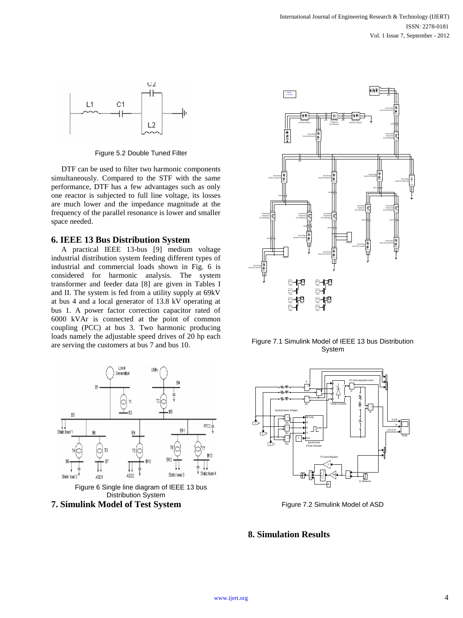

Figure 5.2 Double Tuned Filter

DTF can be used to filter two harmonic components simultaneously. Compared to the STF with the same performance, DTF has a few advantages such as only one reactor is subjected to full line voltage, its losses are much lower and the impedance magnitude at the frequency of the parallel resonance is lower and smaller space needed.

#### **6. IEEE 13 Bus Distribution System**

A practical IEEE 13-bus [9] medium voltage industrial distribution system feeding different types of industrial and commercial loads shown in Fig. 6 is considered for harmonic analysis. The system transformer and feeder data [8] are given in Tables I and II. The system is fed from a utility supply at 69kV at bus 4 and a local generator of 13.8 kV operating at bus 1. A power factor correction capacitor rated of 6000 kVAr is connected at the point of common coupling (PCC) at bus 3. Two harmonic producing loads namely the adjustable speed drives of 20 hp each are serving the customers at bus 7 and bus 10.







Figure 7.1 Simulink Model of IEEE 13 bus Distribution System



Figure 7.2 Simulink Model of ASD

## **8. Simulation Results**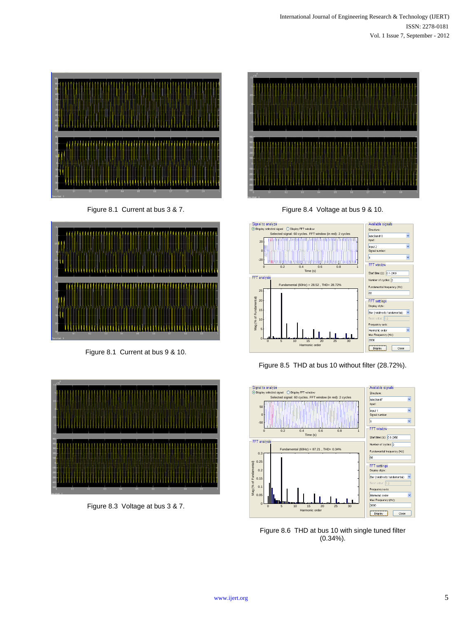

Figure 8.1 Current at bus 3 & 7.



Figure 8.1 Current at bus 9 & 10.







Figure 8.4 Voltage at bus 9 & 10.







Figure 8.6 THD at bus 10 with single tuned filter (0.34%).